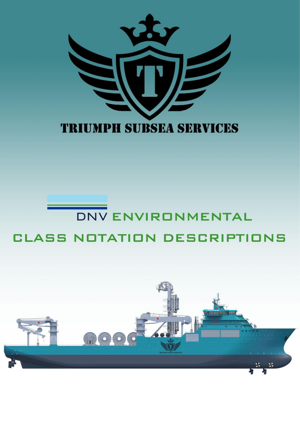

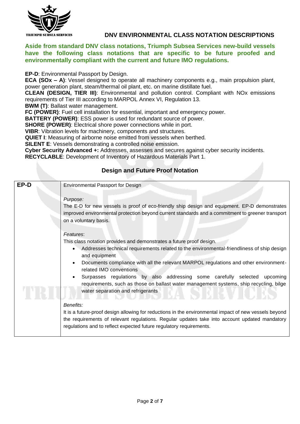

#### **Aside from standard DNV class notations, Triumph Subsea Services new-build vessels have the following class notations that are specific to be future proofed and environmentally compliant with the current and future IMO regulations.**

#### **EP-D**: Environmental Passport by Design.

**ECA (SOx – A)**: Vessel designed to operate all machinery components e.g., main propulsion plant, power generation plant, steam/thermal oil plant, etc. on marine distillate fuel.

**CLEAN (DESIGN, TIER III)**: Environmental and pollution control. Compliant with NOx emissions requirements of Tier III according to MARPOL Annex VI, Regulation 13.

**BWM (T)**: Ballast water management.

**FC (POWER)**: Fuel cell installation for essential, important and emergency power.

**BATTERY (POWER)**: ESS power is used for redundant source of power.

**SHORE (POWER)**: Electrical shore power connections while in port.

**VIBR**: Vibration levels for machinery, components and structures.

**QUIET I**: Measuring of airborne noise emitted from vessels when berthed.

**SILENT E**: Vessels demonstrating a controlled noise emission.

**Cyber Security Advanced +:** Addresses, assesses and secures against cyber security incidents. **RECYCLABLE**: Development of Inventory of Hazardous Materials Part 1.

#### **Design and Future Proof Notation**

| EP-D | <b>Environmental Passport for Design</b><br>Purpose:                                                                                                                                                   |
|------|--------------------------------------------------------------------------------------------------------------------------------------------------------------------------------------------------------|
|      | The E-D for new vessels is proof of eco-friendly ship design and equipment. EP-D demonstrates                                                                                                          |
|      | improved environmental protection beyond current standards and a commitment to greener transport<br>on a voluntary basis.                                                                              |
|      | Features:                                                                                                                                                                                              |
|      | This class notation provides and demonstrates a future proof design.                                                                                                                                   |
|      | Addresses technical requirements related to the environmental-friendliness of ship design<br>and equipment                                                                                             |
|      | Documents compliance with all the relevant MARPOL regulations and other environment-<br>related IMO conventions                                                                                        |
|      | Surpasses regulations by also addressing some carefully selected<br>upcoming<br>requirements, such as those on ballast water management systems, ship recycling, bilge                                 |
|      | water separation and refrigerants                                                                                                                                                                      |
|      | Benefits:                                                                                                                                                                                              |
|      | It is a future-proof design allowing for reductions in the environmental impact of new vessels beyond<br>the requirements of relevant regulations. Regular updates take into account updated mandatory |
|      | regulations and to reflect expected future regulatory requirements.                                                                                                                                    |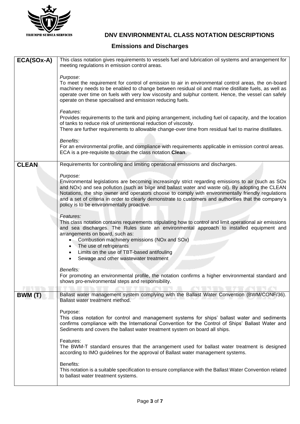

### **Emissions and Discharges**

| ECA(SOx-A)   | This class notation gives requirements to vessels fuel and lubrication oil systems and arrangement for<br>meeting regulations in emission control areas.                                                                                                                          |
|--------------|-----------------------------------------------------------------------------------------------------------------------------------------------------------------------------------------------------------------------------------------------------------------------------------|
|              |                                                                                                                                                                                                                                                                                   |
|              | Purpose:<br>To meet the requirement for control of emission to air in environmental control areas, the on-board                                                                                                                                                                   |
|              | machinery needs to be enabled to change between residual oil and marine distillate fuels, as well as<br>operate over time on fuels with very low viscosity and sulphur content. Hence, the vessel can safely                                                                      |
|              | operate on these specialised and emission reducing fuels.                                                                                                                                                                                                                         |
|              | Features:                                                                                                                                                                                                                                                                         |
|              | Provides requirements to the tank and piping arrangement, including fuel oil capacity, and the location<br>of tanks to reduce risk of unintentional reduction of viscosity.                                                                                                       |
|              | There are further requirements to allowable change-over time from residual fuel to marine distillates.                                                                                                                                                                            |
|              | Benefits:                                                                                                                                                                                                                                                                         |
|              | For an environmental profile, and compliance with requirements applicable in emission control areas.<br>ECA is a pre-requisite to obtain the class notation Clean.                                                                                                                |
| <b>CLEAN</b> | Requirements for controlling and limiting operational emissions and discharges.                                                                                                                                                                                                   |
|              | Purpose:                                                                                                                                                                                                                                                                          |
|              | Environmental legislations are becoming increasingly strict regarding emissions to air (such as SOx<br>and NOx) and sea pollution (such as bilge and ballast water and waste oil). By adopting the CLEAN                                                                          |
|              | Notations, the ship owner and operators choose to comply with environmentally friendly regulations<br>and a set of criteria in order to clearly demonstrate to customers and authorities that the company's                                                                       |
|              | policy is to be environmentally proactive.                                                                                                                                                                                                                                        |
|              | Features:                                                                                                                                                                                                                                                                         |
|              | This class notation contains requirements stipulating how to control and limit operational air emissions<br>and sea discharges. The Rules state an environmental approach to installed equipment and                                                                              |
|              | arrangements on board, such as:<br>Combustion machinery emissions (NOx and SOx)                                                                                                                                                                                                   |
|              | • The use of refrigerants                                                                                                                                                                                                                                                         |
|              | Limits on the use of TBT-based antifouling<br>Sewage and other wastewater treatment                                                                                                                                                                                               |
|              | Benefits:                                                                                                                                                                                                                                                                         |
|              | For promoting an environmental profile, the notation confirms a higher environmental standard and                                                                                                                                                                                 |
|              | shows pro-environmental steps and responsibility.                                                                                                                                                                                                                                 |
| BWM (T)      | Ballast water management system complying with the Ballast Water Convention (BWM/CONF/36).<br>Ballast water treatment method.                                                                                                                                                     |
|              | Purpose:                                                                                                                                                                                                                                                                          |
|              | This class notation for control and management systems for ships' ballast water and sediments<br>confirms compliance with the International Convention for the Control of Ships' Ballast Water and<br>Sediments and covers the ballast water treatment system on board all ships. |
|              | Features:                                                                                                                                                                                                                                                                         |
|              | The BWM-T standard ensures that the arrangement used for ballast water treatment is designed<br>according to IMO guidelines for the approval of Ballast water management systems.                                                                                                 |
|              | Benefits:                                                                                                                                                                                                                                                                         |
|              | This notation is a suitable specification to ensure compliance with the Ballast Water Convention related<br>to ballast water treatment systems.                                                                                                                                   |
|              |                                                                                                                                                                                                                                                                                   |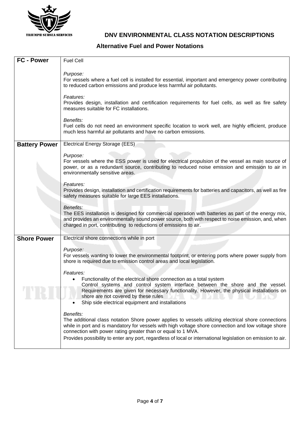

**Alternative Fuel and Power Notations**

| FC - Power           | <b>Fuel Cell</b>                                                                                                                                                                                                                                                                                                                                                                                        |
|----------------------|---------------------------------------------------------------------------------------------------------------------------------------------------------------------------------------------------------------------------------------------------------------------------------------------------------------------------------------------------------------------------------------------------------|
|                      | Purpose:<br>For vessels where a fuel cell is installed for essential, important and emergency power contributing<br>to reduced carbon emissions and produce less harmful air pollutants.                                                                                                                                                                                                                |
|                      | Features:<br>Provides design, installation and certification requirements for fuel cells, as well as fire safety<br>measures suitable for FC installations.                                                                                                                                                                                                                                             |
|                      | Benefits:<br>Fuel cells do not need an environment specific location to work well, are highly efficient, produce<br>much less harmful air pollutants and have no carbon emissions.                                                                                                                                                                                                                      |
| <b>Battery Power</b> | Electrical Energy Storage (EES)                                                                                                                                                                                                                                                                                                                                                                         |
|                      | Purpose:<br>For vessels where the ESS power is used for electrical propulsion of the vessel as main source of<br>power, or as a redundant source, contributing to reduced noise emission and emission to air in<br>environmentally sensitive areas.                                                                                                                                                     |
|                      | Features:<br>Provides design, installation and certification requirements for batteries and capacitors, as well as fire<br>safety measures suitable for large EES installations.                                                                                                                                                                                                                        |
|                      | Benefits:<br>The EES installation is designed for commercial operation with batteries as part of the energy mix,<br>and provides an environmentally sound power source, both with respect to noise emission, and, when<br>charged in port, contributing to reductions of emissions to air.                                                                                                              |
| <b>Shore Power</b>   | Electrical shore connections while in port                                                                                                                                                                                                                                                                                                                                                              |
|                      | Purpose:<br>For vessels wanting to lower the environmental footprint, or entering ports where power supply from<br>shore is required due to emission control areas and local legislation.                                                                                                                                                                                                               |
|                      | Features:<br>Functionality of the electrical shore connection as a total system<br>Control systems and control system interface between the shore and the vessel.<br>Requirements are given for necessary functionality. However, the physical installations on<br>shore are not covered by these rules<br>Ship side electrical equipment and installations                                             |
|                      | Benefits:<br>The additional class notation Shore power applies to vessels utilizing electrical shore connections<br>while in port and is mandatory for vessels with high voltage shore connection and low voltage shore<br>connection with power rating greater than or equal to 1 MVA.<br>Provides possibility to enter any port, regardless of local or international legislation on emission to air. |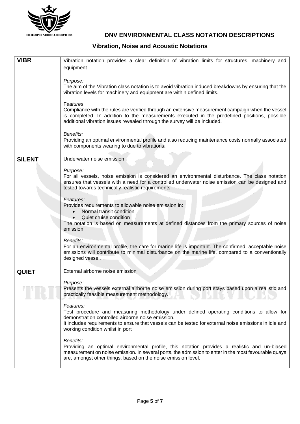

### **Vibration, Noise and Acoustic Notations**

| <b>VIBR</b>   | Vibration notation provides a clear definition of vibration limits for structures, machinery and                                                                                                                                                                                                         |
|---------------|----------------------------------------------------------------------------------------------------------------------------------------------------------------------------------------------------------------------------------------------------------------------------------------------------------|
|               | equipment.                                                                                                                                                                                                                                                                                               |
|               | Purpose:                                                                                                                                                                                                                                                                                                 |
|               | The aim of the Vibration class notation is to avoid vibration induced breakdowns by ensuring that the<br>vibration levels for machinery and equipment are within defined limits.                                                                                                                         |
|               | Features:<br>Compliance with the rules are verified through an extensive measurement campaign when the vessel<br>is completed. In addition to the measurements executed in the predefined positions, possible<br>additional vibration issues revealed through the survey will be included.               |
|               | Benefits:<br>Providing an optimal environmental profile and also reducing maintenance costs normally associated<br>with components wearing to due to vibrations.                                                                                                                                         |
| <b>SILENT</b> | Underwater noise emission                                                                                                                                                                                                                                                                                |
|               | Purpose:                                                                                                                                                                                                                                                                                                 |
|               | For all vessels, noise emission is considered an environmental disturbance. The class notation<br>ensures that vessels with a need for a controlled underwater noise emission can be designed and<br>tested towards technically realistic requirements.                                                  |
|               | Features:                                                                                                                                                                                                                                                                                                |
|               | Provides requirements to allowable noise emission in:<br>Normal transit condition<br>$\bullet$                                                                                                                                                                                                           |
|               | Quiet cruise condition<br>$\bullet$                                                                                                                                                                                                                                                                      |
|               | The notation is based on measurements at defined distances from the primary sources of noise<br>emission.                                                                                                                                                                                                |
|               | Benefits:                                                                                                                                                                                                                                                                                                |
|               | For an environmental profile, the care for marine life is important. The confirmed, acceptable noise<br>emissions will contribute to minimal disturbance on the marine life, compared to a conventionally<br>designed vessel.                                                                            |
| <b>QUIET</b>  | External airborne noise emission                                                                                                                                                                                                                                                                         |
|               | Purpose:                                                                                                                                                                                                                                                                                                 |
|               | Presents the vessels external airborne noise emission during port stays based upon a realistic and<br>practically feasible measurement methodology.                                                                                                                                                      |
|               | Features:<br>Test procedure and measuring methodology under defined operating conditions to allow for<br>demonstration controlled airborne noise emission.<br>It includes requirements to ensure that vessels can be tested for external noise emissions in idle and<br>working condition whilst in port |
|               | Benefits:<br>Providing an optimal environmental profile, this notation provides a realistic and un-biased<br>measurement on noise emission. In several ports, the admission to enter in the most favourable quays<br>are, amongst other things, based on the noise emission level.                       |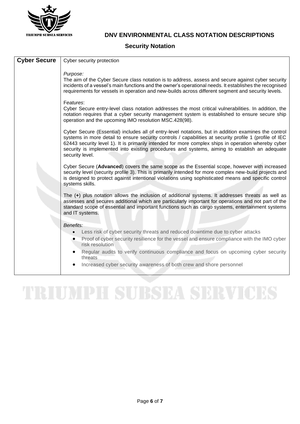

#### **Security Notation**

# TRIUMPH SUBSEA SERVICES